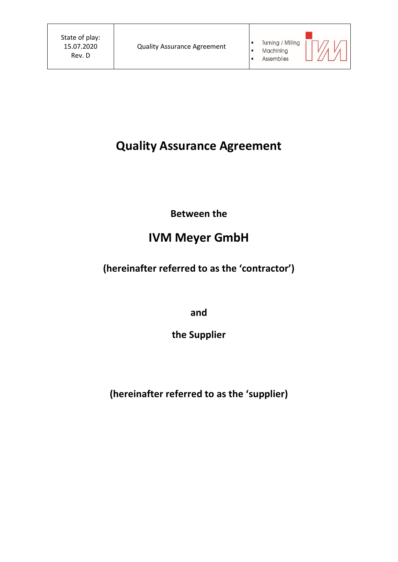$\blacksquare$  $\hat{\textbf{u}}$ 

 $\overline{\phantom{a}}$ 

# **Quality Assurance Agreement**

**Between the**

# **IVM Meyer GmbH**

**(hereinafter referred to as the 'contractor')**

**and**

**the Supplier**

**(hereinafter referred to as the 'supplier)**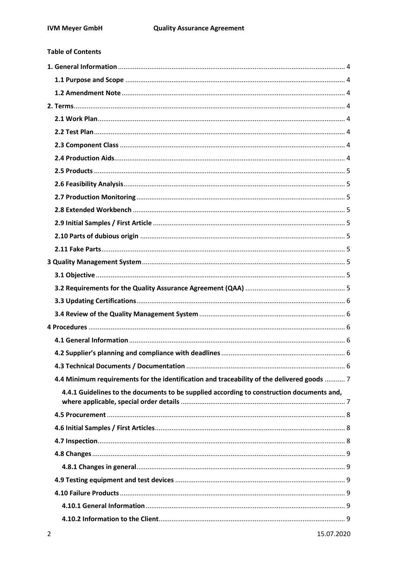**Table of Contents** 

| 4.4 Minimum requirements for the identification and traceability of the delivered goods  7 |  |
|--------------------------------------------------------------------------------------------|--|
| 4.4.1 Guidelines to the documents to be supplied according to construction documents and,  |  |
|                                                                                            |  |
|                                                                                            |  |
|                                                                                            |  |
|                                                                                            |  |
|                                                                                            |  |
|                                                                                            |  |
|                                                                                            |  |
|                                                                                            |  |
|                                                                                            |  |
|                                                                                            |  |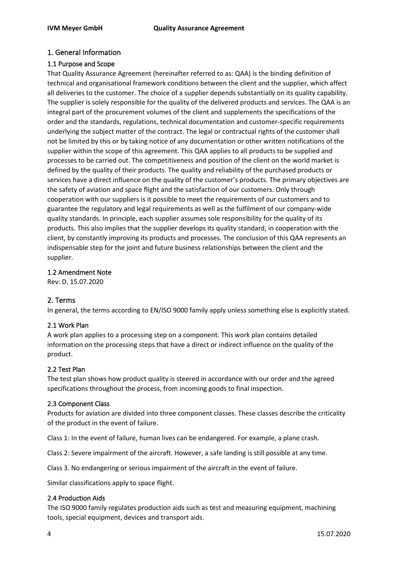# <span id="page-3-0"></span>1. General Information

#### <span id="page-3-1"></span>1.1 Purpose and Scope

That Quality Assurance Agreement (hereinafter referred to as: QAA) is the binding definition of technical and organisational framework conditions between the client and the supplier, which affect all deliveries to the customer. The choice of a supplier depends substantially on its quality capability. The supplier is solely responsible for the quality of the delivered products and services. The QAA is an integral part of the procurement volumes of the client and supplements the specifications of the order and the standards, regulations, technical documentation and customer-specific requirements underlying the subject matter of the contract. The legal or contractual rights of the customer shall not be limited by this or by taking notice of any documentation or other written notifications of the supplier within the scope of this agreement. This QAA applies to all products to be supplied and processes to be carried out. The competitiveness and position of the client on the world market is defined by the quality of their products. The quality and reliability of the purchased products or services have a direct influence on the quality of the customer's products. The primary objectives are the safety of aviation and space flight and the satisfaction of our customers. Only through cooperation with our suppliers is it possible to meet the requirements of our customers and to guarantee the regulatory and legal requirements as well as the fulfilment of our company-wide quality standards. In principle, each supplier assumes sole responsibility for the quality of its products. This also implies that the supplier develops its quality standard, in cooperation with the client, by constantly improving its products and processes. The conclusion of this QAA represents an indispensable step for the joint and future business relationships between the client and the supplier.

#### <span id="page-3-2"></span>1.2 Amendment Note

Rev: D, 15.07.2020

# <span id="page-3-3"></span>2. Terms

In general, the terms according to EN/ISO 9000 family apply unless something else is explicitly stated.

#### <span id="page-3-4"></span>2.1 Work Plan

A work plan applies to a processing step on a component. This work plan contains detailed information on the processing steps that have a direct or indirect influence on the quality of the product.

#### <span id="page-3-5"></span>2.2 Test Plan

The test plan shows how product quality is steered in accordance with our order and the agreed specifications throughout the process, from incoming goods to final inspection.

#### <span id="page-3-6"></span>2.3 Component Class

Products for aviation are divided into three component classes. These classes describe the criticality of the product in the event of failure.

Class 1: In the event of failure, human lives can be endangered. For example, a plane crash.

Class 2: Severe impairment of the aircraft. However, a safe landing is still possible at any time.

Class 3. No endangering or serious impairment of the aircraft in the event of failure.

Similar classifications apply to space flight.

#### <span id="page-3-7"></span>2.4 Production Aids

The ISO 9000 family regulates production aids such as test and measuring equipment, machining tools, special equipment, devices and transport aids.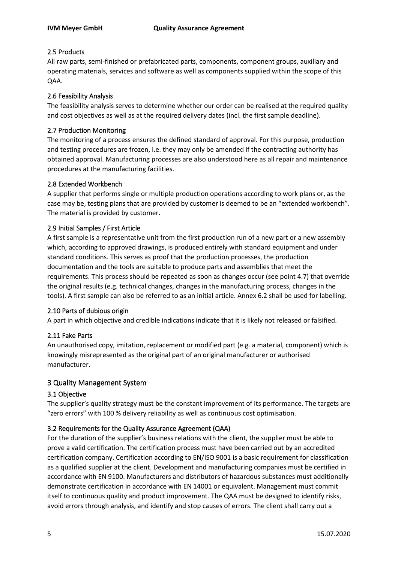# <span id="page-4-0"></span>2.5 Products

All raw parts, semi-finished or prefabricated parts, components, component groups, auxiliary and operating materials, services and software as well as components supplied within the scope of this QAA.

# <span id="page-4-1"></span>2.6 Feasibility Analysis

The feasibility analysis serves to determine whether our order can be realised at the required quality and cost objectives as well as at the required delivery dates (incl. the first sample deadline).

# <span id="page-4-2"></span>2.7 Production Monitoring

The monitoring of a process ensures the defined standard of approval. For this purpose, production and testing procedures are frozen, i.e. they may only be amended if the contracting authority has obtained approval. Manufacturing processes are also understood here as all repair and maintenance procedures at the manufacturing facilities.

# <span id="page-4-3"></span>2.8 Extended Workbench

A supplier that performs single or multiple production operations according to work plans or, as the case may be, testing plans that are provided by customer is deemed to be an "extended workbench". The material is provided by customer.

# <span id="page-4-4"></span>2.9 Initial Samples / First Article

A first sample is a representative unit from the first production run of a new part or a new assembly which, according to approved drawings, is produced entirely with standard equipment and under standard conditions. This serves as proof that the production processes, the production documentation and the tools are suitable to produce parts and assemblies that meet the requirements. This process should be repeated as soon as changes occur (see point 4.7) that override the original results (e.g. technical changes, changes in the manufacturing process, changes in the tools). A first sample can also be referred to as an initial article. Annex 6.2 shall be used for labelling.

# <span id="page-4-5"></span>2.10 Parts of dubious origin

A part in which objective and credible indications indicate that it is likely not released or falsified.

# <span id="page-4-6"></span>2.11 Fake Parts

An unauthorised copy, imitation, replacement or modified part (e.g. a material, component) which is knowingly misrepresented as the original part of an original manufacturer or authorised manufacturer.

# <span id="page-4-7"></span>3 Quality Management System

# <span id="page-4-8"></span>3.1 Objective

The supplier's quality strategy must be the constant improvement of its performance. The targets are "zero errors" with 100 % delivery reliability as well as continuous cost optimisation.

# <span id="page-4-9"></span>3.2 Requirements for the Quality Assurance Agreement (QAA)

For the duration of the supplier's business relations with the client, the supplier must be able to prove a valid certification. The certification process must have been carried out by an accredited certification company. Certification according to EN/ISO 9001 is a basic requirement for classification as a qualified supplier at the client. Development and manufacturing companies must be certified in accordance with EN 9100. Manufacturers and distributors of hazardous substances must additionally demonstrate certification in accordance with EN 14001 or equivalent. Management must commit itself to continuous quality and product improvement. The QAA must be designed to identify risks, avoid errors through analysis, and identify and stop causes of errors. The client shall carry out a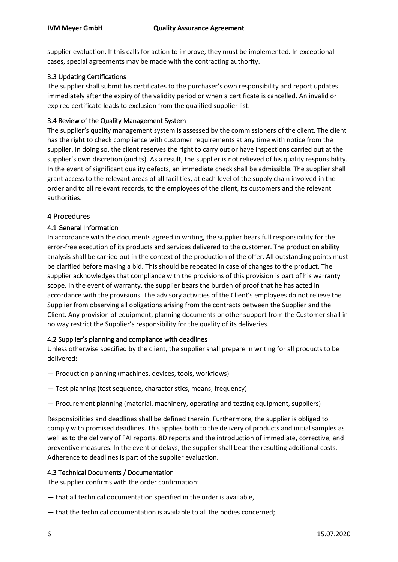supplier evaluation. If this calls for action to improve, they must be implemented. In exceptional cases, special agreements may be made with the contracting authority.

## <span id="page-5-0"></span>3.3 Updating Certifications

The supplier shall submit his certificates to the purchaser's own responsibility and report updates immediately after the expiry of the validity period or when a certificate is cancelled. An invalid or expired certificate leads to exclusion from the qualified supplier list.

#### <span id="page-5-1"></span>3.4 Review of the Quality Management System

The supplier's quality management system is assessed by the commissioners of the client. The client has the right to check compliance with customer requirements at any time with notice from the supplier. In doing so, the client reserves the right to carry out or have inspections carried out at the supplier's own discretion (audits). As a result, the supplier is not relieved of his quality responsibility. In the event of significant quality defects, an immediate check shall be admissible. The supplier shall grant access to the relevant areas of all facilities, at each level of the supply chain involved in the order and to all relevant records, to the employees of the client, its customers and the relevant authorities.

#### <span id="page-5-2"></span>4 Procedures

#### <span id="page-5-3"></span>4.1 General Information

In accordance with the documents agreed in writing, the supplier bears full responsibility for the error-free execution of its products and services delivered to the customer. The production ability analysis shall be carried out in the context of the production of the offer. All outstanding points must be clarified before making a bid. This should be repeated in case of changes to the product. The supplier acknowledges that compliance with the provisions of this provision is part of his warranty scope. In the event of warranty, the supplier bears the burden of proof that he has acted in accordance with the provisions. The advisory activities of the Client's employees do not relieve the Supplier from observing all obligations arising from the contracts between the Supplier and the Client. Any provision of equipment, planning documents or other support from the Customer shall in no way restrict the Supplier's responsibility for the quality of its deliveries.

#### <span id="page-5-4"></span>4.2 Supplier's planning and compliance with deadlines

Unless otherwise specified by the client, the supplier shall prepare in writing for all products to be delivered:

- Production planning (machines, devices, tools, workflows)
- Test planning (test sequence, characteristics, means, frequency)
- Procurement planning (material, machinery, operating and testing equipment, suppliers)

Responsibilities and deadlines shall be defined therein. Furthermore, the supplier is obliged to comply with promised deadlines. This applies both to the delivery of products and initial samples as well as to the delivery of FAI reports, 8D reports and the introduction of immediate, corrective, and preventive measures. In the event of delays, the supplier shall bear the resulting additional costs. Adherence to deadlines is part of the supplier evaluation.

#### <span id="page-5-5"></span>4.3 Technical Documents / Documentation

The supplier confirms with the order confirmation:

- that all technical documentation specified in the order is available,
- that the technical documentation is available to all the bodies concerned;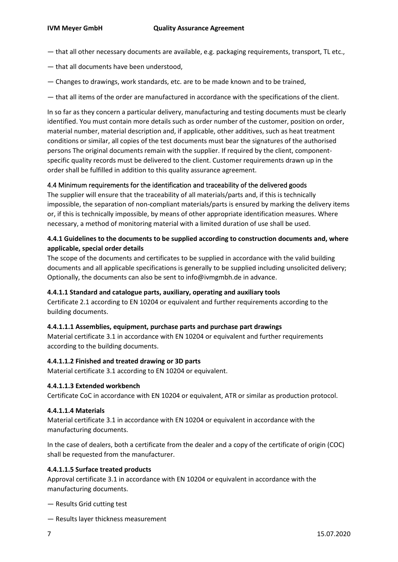- that all other necessary documents are available, e.g. packaging requirements, transport, TL etc.,
- that all documents have been understood,
- Changes to drawings, work standards, etc. are to be made known and to be trained,
- that all items of the order are manufactured in accordance with the specifications of the client.

In so far as they concern a particular delivery, manufacturing and testing documents must be clearly identified. You must contain more details such as order number of the customer, position on order, material number, material description and, if applicable, other additives, such as heat treatment conditions or similar, all copies of the test documents must bear the signatures of the authorised persons The original documents remain with the supplier. If required by the client, componentspecific quality records must be delivered to the client. Customer requirements drawn up in the order shall be fulfilled in addition to this quality assurance agreement.

#### <span id="page-6-0"></span>4.4 Minimum requirements for the identification and traceability of the delivered goods

The supplier will ensure that the traceability of all materials/parts and, if this is technically impossible, the separation of non-compliant materials/parts is ensured by marking the delivery items or, if this is technically impossible, by means of other appropriate identification measures. Where necessary, a method of monitoring material with a limited duration of use shall be used.

# <span id="page-6-1"></span>**4.4.1 Guidelines to the documents to be supplied according to construction documents and, where applicable, special order details**

The scope of the documents and certificates to be supplied in accordance with the valid building documents and all applicable specifications is generally to be supplied including unsolicited delivery; Optionally, the documents can also be sent to info@ivmgmbh.de in advance.

#### **4.4.1.1 Standard and catalogue parts, auxiliary, operating and auxiliary tools**

Certificate 2.1 according to EN 10204 or equivalent and further requirements according to the building documents.

#### **4.4.1.1.1 Assemblies, equipment, purchase parts and purchase part drawings**

Material certificate 3.1 in accordance with EN 10204 or equivalent and further requirements according to the building documents.

#### **4.4.1.1.2 Finished and treated drawing or 3D parts**

Material certificate 3.1 according to EN 10204 or equivalent.

#### **4.4.1.1.3 Extended workbench**

Certificate CoC in accordance with EN 10204 or equivalent, ATR or similar as production protocol.

#### **4.4.1.1.4 Materials**

Material certificate 3.1 in accordance with EN 10204 or equivalent in accordance with the manufacturing documents.

In the case of dealers, both a certificate from the dealer and a copy of the certificate of origin (COC) shall be requested from the manufacturer.

#### **4.4.1.1.5 Surface treated products**

Approval certificate 3.1 in accordance with EN 10204 or equivalent in accordance with the manufacturing documents.

- Results Grid cutting test
- Results layer thickness measurement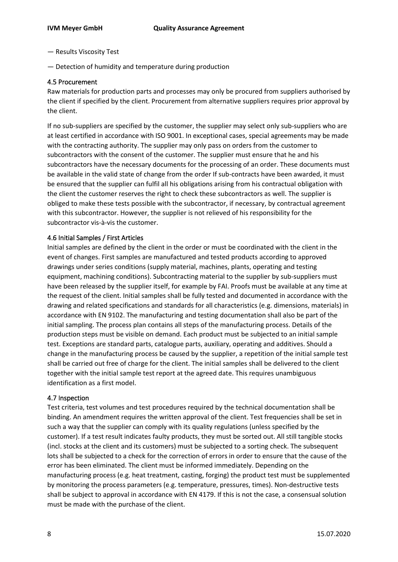- Results Viscosity Test
- Detection of humidity and temperature during production

#### <span id="page-7-0"></span>4.5 Procurement

Raw materials for production parts and processes may only be procured from suppliers authorised by the client if specified by the client. Procurement from alternative suppliers requires prior approval by the client.

If no sub-suppliers are specified by the customer, the supplier may select only sub-suppliers who are at least certified in accordance with ISO 9001. In exceptional cases, special agreements may be made with the contracting authority. The supplier may only pass on orders from the customer to subcontractors with the consent of the customer. The supplier must ensure that he and his subcontractors have the necessary documents for the processing of an order. These documents must be available in the valid state of change from the order If sub-contracts have been awarded, it must be ensured that the supplier can fulfil all his obligations arising from his contractual obligation with the client the customer reserves the right to check these subcontractors as well. The supplier is obliged to make these tests possible with the subcontractor, if necessary, by contractual agreement with this subcontractor. However, the supplier is not relieved of his responsibility for the subcontractor vis-à-vis the customer.

#### <span id="page-7-1"></span>4.6 Initial Samples / First Articles

Initial samples are defined by the client in the order or must be coordinated with the client in the event of changes. First samples are manufactured and tested products according to approved drawings under series conditions (supply material, machines, plants, operating and testing equipment, machining conditions). Subcontracting material to the supplier by sub-suppliers must have been released by the supplier itself, for example by FAI. Proofs must be available at any time at the request of the client. Initial samples shall be fully tested and documented in accordance with the drawing and related specifications and standards for all characteristics (e.g. dimensions, materials) in accordance with EN 9102. The manufacturing and testing documentation shall also be part of the initial sampling. The process plan contains all steps of the manufacturing process. Details of the production steps must be visible on demand. Each product must be subjected to an initial sample test. Exceptions are standard parts, catalogue parts, auxiliary, operating and additives. Should a change in the manufacturing process be caused by the supplier, a repetition of the initial sample test shall be carried out free of charge for the client. The initial samples shall be delivered to the client together with the initial sample test report at the agreed date. This requires unambiguous identification as a first model.

#### <span id="page-7-2"></span>4.7 Inspection

Test criteria, test volumes and test procedures required by the technical documentation shall be binding. An amendment requires the written approval of the client. Test frequencies shall be set in such a way that the supplier can comply with its quality regulations (unless specified by the customer). If a test result indicates faulty products, they must be sorted out. All still tangible stocks (incl. stocks at the client and its customers) must be subjected to a sorting check. The subsequent lots shall be subjected to a check for the correction of errors in order to ensure that the cause of the error has been eliminated. The client must be informed immediately. Depending on the manufacturing process (e.g. heat treatment, casting, forging) the product test must be supplemented by monitoring the process parameters (e.g. temperature, pressures, times). Non-destructive tests shall be subject to approval in accordance with EN 4179. If this is not the case, a consensual solution must be made with the purchase of the client.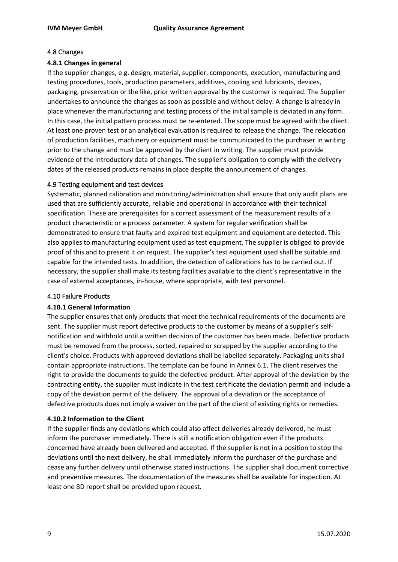## <span id="page-8-0"></span>4.8 Changes

#### <span id="page-8-1"></span>**4.8.1 Changes in general**

If the supplier changes, e.g. design, material, supplier, components, execution, manufacturing and testing procedures, tools, production parameters, additives, cooling and lubricants, devices, packaging, preservation or the like, prior written approval by the customer is required. The Supplier undertakes to announce the changes as soon as possible and without delay. A change is already in place whenever the manufacturing and testing process of the initial sample is deviated in any form. In this case, the initial pattern process must be re-entered. The scope must be agreed with the client. At least one proven test or an analytical evaluation is required to release the change. The relocation of production facilities, machinery or equipment must be communicated to the purchaser in writing prior to the change and must be approved by the client in writing. The supplier must provide evidence of the introductory data of changes. The supplier's obligation to comply with the delivery dates of the released products remains in place despite the announcement of changes.

#### <span id="page-8-2"></span>4.9 Testing equipment and test devices

Systematic, planned calibration and monitoring/administration shall ensure that only audit plans are used that are sufficiently accurate, reliable and operational in accordance with their technical specification. These are prerequisites for a correct assessment of the measurement results of a product characteristic or a process parameter. A system for regular verification shall be demonstrated to ensure that faulty and expired test equipment and equipment are detected. This also applies to manufacturing equipment used as test equipment. The supplier is obliged to provide proof of this and to present it on request. The supplier's test equipment used shall be suitable and capable for the intended tests. In addition, the detection of calibrations has to be carried out. If necessary, the supplier shall make its testing facilities available to the client's representative in the case of external acceptances, in-house, where appropriate, with test personnel.

#### <span id="page-8-3"></span>4.10 Failure Products

#### <span id="page-8-4"></span>**4.10.1 General Information**

The supplier ensures that only products that meet the technical requirements of the documents are sent. The supplier must report defective products to the customer by means of a supplier's selfnotification and withhold until a written decision of the customer has been made. Defective products must be removed from the process, sorted, repaired or scrapped by the supplier according to the client's choice. Products with approved deviations shall be labelled separately. Packaging units shall contain appropriate instructions. The template can be found in Annex 6.1. The client reserves the right to provide the documents to guide the defective product. After approval of the deviation by the contracting entity, the supplier must indicate in the test certificate the deviation permit and include a copy of the deviation permit of the delivery. The approval of a deviation or the acceptance of defective products does not imply a waiver on the part of the client of existing rights or remedies.

#### <span id="page-8-5"></span>**4.10.2 Information to the Client**

If the supplier finds any deviations which could also affect deliveries already delivered, he must inform the purchaser immediately. There is still a notification obligation even if the products concerned have already been delivered and accepted. If the supplier is not in a position to stop the deviations until the next delivery, he shall immediately inform the purchaser of the purchase and cease any further delivery until otherwise stated instructions. The supplier shall document corrective and preventive measures. The documentation of the measures shall be available for inspection. At least one 8D report shall be provided upon request.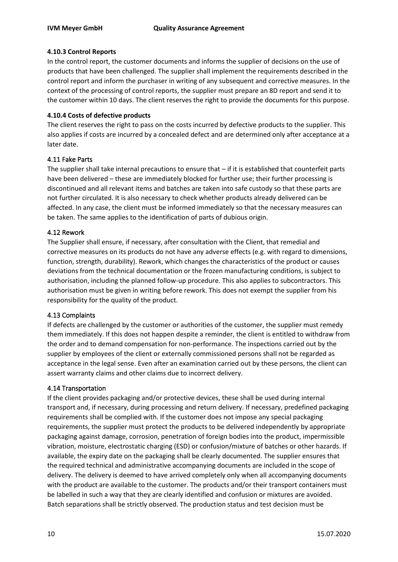## <span id="page-9-0"></span>**4.10.3 Control Reports**

In the control report, the customer documents and informs the supplier of decisions on the use of products that have been challenged. The supplier shall implement the requirements described in the control report and inform the purchaser in writing of any subsequent and corrective measures. In the context of the processing of control reports, the supplier must prepare an 8D report and send it to the customer within 10 days. The client reserves the right to provide the documents for this purpose.

#### <span id="page-9-1"></span>**4.10.4 Costs of defective products**

The client reserves the right to pass on the costs incurred by defective products to the supplier. This also applies if costs are incurred by a concealed defect and are determined only after acceptance at a later date.

#### <span id="page-9-2"></span>4.11 Fake Parts

The supplier shall take internal precautions to ensure that  $-$  if it is established that counterfeit parts have been delivered – these are immediately blocked for further use; their further processing is discontinued and all relevant items and batches are taken into safe custody so that these parts are not further circulated. It is also necessary to check whether products already delivered can be affected. In any case, the client must be informed immediately so that the necessary measures can be taken. The same applies to the identification of parts of dubious origin.

#### <span id="page-9-3"></span>4.12 Rework

The Supplier shall ensure, if necessary, after consultation with the Client, that remedial and corrective measures on its products do not have any adverse effects (e.g. with regard to dimensions, function, strength, durability). Rework, which changes the characteristics of the product or causes deviations from the technical documentation or the frozen manufacturing conditions, is subject to authorisation, including the planned follow-up procedure. This also applies to subcontractors. This authorisation must be given in writing before rework. This does not exempt the supplier from his responsibility for the quality of the product.

#### <span id="page-9-4"></span>4.13 Complaints

If defects are challenged by the customer or authorities of the customer, the supplier must remedy them immediately. If this does not happen despite a reminder, the client is entitled to withdraw from the order and to demand compensation for non-performance. The inspections carried out by the supplier by employees of the client or externally commissioned persons shall not be regarded as acceptance in the legal sense. Even after an examination carried out by these persons, the client can assert warranty claims and other claims due to incorrect delivery.

#### <span id="page-9-5"></span>4.14 Transportation

If the client provides packaging and/or protective devices, these shall be used during internal transport and, if necessary, during processing and return delivery. If necessary, predefined packaging requirements shall be complied with. If the customer does not impose any special packaging requirements, the supplier must protect the products to be delivered independently by appropriate packaging against damage, corrosion, penetration of foreign bodies into the product, impermissible vibration, moisture, electrostatic charging (ESD) or confusion/mixture of batches or other hazards. If available, the expiry date on the packaging shall be clearly documented. The supplier ensures that the required technical and administrative accompanying documents are included in the scope of delivery. The delivery is deemed to have arrived completely only when all accompanying documents with the product are available to the customer. The products and/or their transport containers must be labelled in such a way that they are clearly identified and confusion or mixtures are avoided. Batch separations shall be strictly observed. The production status and test decision must be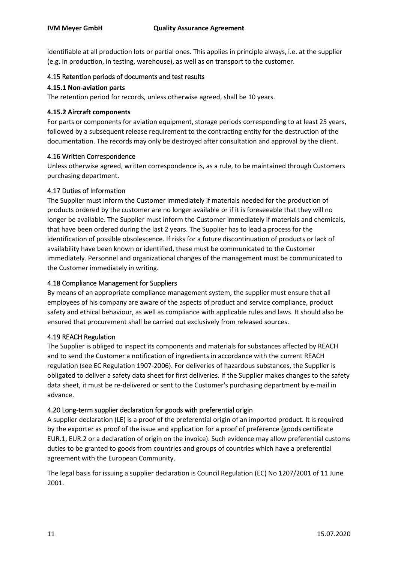identifiable at all production lots or partial ones. This applies in principle always, i.e. at the supplier (e.g. in production, in testing, warehouse), as well as on transport to the customer.

#### <span id="page-10-0"></span>4.15 Retention periods of documents and test results

#### <span id="page-10-1"></span>**4.15.1 Non-aviation parts**

The retention period for records, unless otherwise agreed, shall be 10 years.

#### <span id="page-10-2"></span>**4.15.2 Aircraft components**

For parts or components for aviation equipment, storage periods corresponding to at least 25 years, followed by a subsequent release requirement to the contracting entity for the destruction of the documentation. The records may only be destroyed after consultation and approval by the client.

#### <span id="page-10-3"></span>4.16 Written Correspondence

Unless otherwise agreed, written correspondence is, as a rule, to be maintained through Customers purchasing department.

#### <span id="page-10-4"></span>4.17 Duties of Information

The Supplier must inform the Customer immediately if materials needed for the production of products ordered by the customer are no longer available or if it is foreseeable that they will no longer be available. The Supplier must inform the Customer immediately if materials and chemicals, that have been ordered during the last 2 years. The Supplier has to lead a process for the identification of possible obsolescence. If risks for a future discontinuation of products or lack of availability have been known or identified, these must be communicated to the Customer immediately. Personnel and organizational changes of the management must be communicated to the Customer immediately in writing.

## <span id="page-10-5"></span>4.18 Compliance Management for Suppliers

By means of an appropriate compliance management system, the supplier must ensure that all employees of his company are aware of the aspects of product and service compliance, product safety and ethical behaviour, as well as compliance with applicable rules and laws. It should also be ensured that procurement shall be carried out exclusively from released sources.

#### <span id="page-10-6"></span>4.19 REACH Regulation

The Supplier is obliged to inspect its components and materials for substances affected by REACH and to send the Customer a notification of ingredients in accordance with the current REACH regulation (see EC Regulation 1907-2006). For deliveries of hazardous substances, the Supplier is obligated to deliver a safety data sheet for first deliveries. If the Supplier makes changes to the safety data sheet, it must be re-delivered or sent to the Customer's purchasing department by e-mail in advance.

#### <span id="page-10-7"></span>4.20 Long-term supplier declaration for goods with preferential origin

A supplier declaration (LE) is a proof of the preferential origin of an imported product. It is required by the exporter as proof of the issue and application for a proof of preference (goods certificate EUR.1, EUR.2 or a declaration of origin on the invoice). Such evidence may allow preferential customs duties to be granted to goods from countries and groups of countries which have a preferential agreement with the European Community.

The legal basis for issuing a supplier declaration is Council Regulation (EC) No 1207/2001 of 11 June 2001.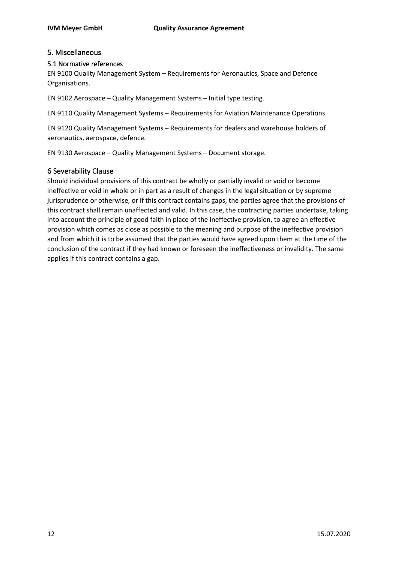# <span id="page-11-0"></span>5. Miscellaneous

## <span id="page-11-1"></span>5.1 Normative references

EN 9100 Quality Management System – Requirements for Aeronautics, Space and Defence Organisations.

EN 9102 Aerospace – Quality Management Systems – Initial type testing.

EN 9110 Quality Management Systems – Requirements for Aviation Maintenance Operations.

EN 9120 Quality Management Systems – Requirements for dealers and warehouse holders of aeronautics, aerospace, defence.

EN 9130 Aerospace – Quality Management Systems – Document storage.

# <span id="page-11-2"></span>6 Severability Clause

Should individual provisions of this contract be wholly or partially invalid or void or become ineffective or void in whole or in part as a result of changes in the legal situation or by supreme jurisprudence or otherwise, or if this contract contains gaps, the parties agree that the provisions of this contract shall remain unaffected and valid. In this case, the contracting parties undertake, taking into account the principle of good faith in place of the ineffective provision, to agree an effective provision which comes as close as possible to the meaning and purpose of the ineffective provision and from which it is to be assumed that the parties would have agreed upon them at the time of the conclusion of the contract if they had known or foreseen the ineffectiveness or invalidity. The same applies if this contract contains a gap.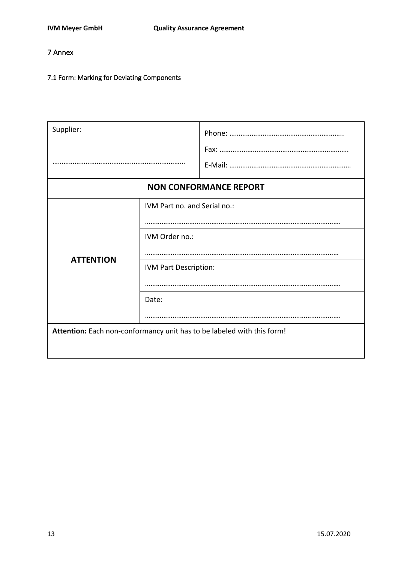# <span id="page-12-0"></span>7 Annex

# <span id="page-12-1"></span>7.1 Form: Marking for Deviating Components

| Supplier:                                                                                            |  |  |  |  |
|------------------------------------------------------------------------------------------------------|--|--|--|--|
| <b>NON CONFORMANCE REPORT</b>                                                                        |  |  |  |  |
| IVM Part no. and Serial no.:<br>IVM Order no.:<br><b>ATTENTION</b><br>IVM Part Description:<br>Date: |  |  |  |  |
| Attention: Each non-conformancy unit has to be labeled with this form!                               |  |  |  |  |